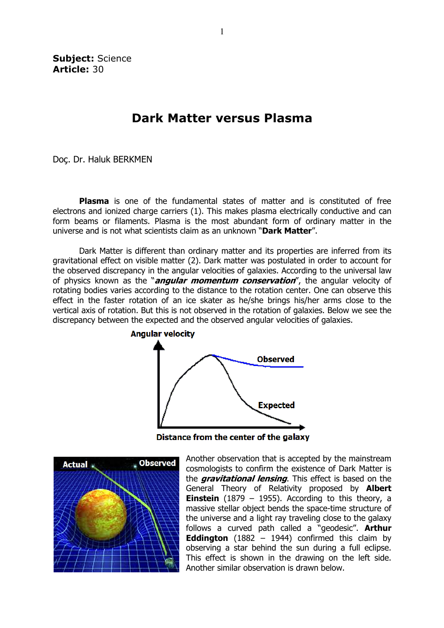Subject: Science Article: 30

## Dark Matter versus Plasma

Doç. Dr. Haluk BERKMEN

**Plasma** is one of the fundamental states of matter and is constituted of free electrons and ionized charge carriers (1). This makes plasma electrically conductive and can form beams or filaments. Plasma is the most abundant form of ordinary matter in the universe and is not what scientists claim as an unknown "Dark Matter".

 Dark Matter is different than ordinary matter and its properties are inferred from its gravitational effect on visible matter (2). Dark matter was postulated in order to account for the observed discrepancy in the angular velocities of galaxies. According to the universal law of physics known as the "*angular momentum conservation*", the angular velocity of rotating bodies varies according to the distance to the rotation center. One can observe this effect in the faster rotation of an ice skater as he/she brings his/her arms close to the vertical axis of rotation. But this is not observed in the rotation of galaxies. Below we see the discrepancy between the expected and the observed angular velocities of galaxies.



Distance from the center of the galaxy



Another observation that is accepted by the mainstream cosmologists to confirm the existence of Dark Matter is the *gravitational lensing*. This effect is based on the General Theory of Relativity proposed by **Albert Einstein** (1879 – 1955). According to this theory, a massive stellar object bends the space-time structure of the universe and a light ray traveling close to the galaxy follows a curved path called a "geodesic". Arthur **Eddington** (1882 – 1944) confirmed this claim by observing a star behind the sun during a full eclipse. This effect is shown in the drawing on the left side. Another similar observation is drawn below.